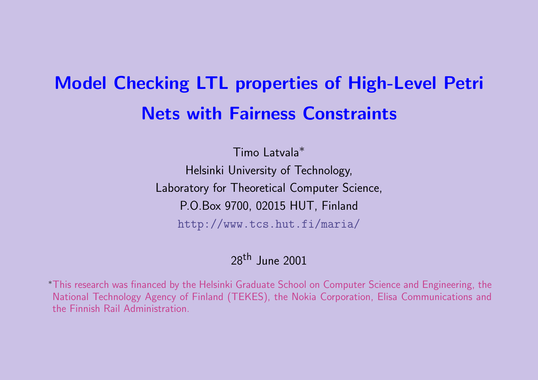# Model Checking LTL properties of High**Net[s with Fairness Constra](http://www.tcs.hut.fi/maria/)ints**

Timo Latvala<sup>∗</sup> Helsinki University of Technology, Laboratory for Theoretical Computer Science, P.O.Box 9700, 02015 HUT, Finland

http://www.tcs.hut.fi/maria/

## 28th June 2001

\*This research was financed by the Helsinki Graduate School on Computer Scien National Technology Agency of Finland (TEKES), the Nokia Corporation, Elis the Finnish Rail Administration.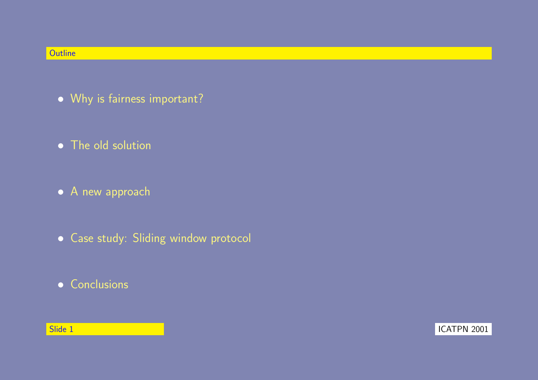#### **Outline**

- Why is fairness important?
- The old solution
- A new approach
- Case study: Sliding window protocol
- Conclusions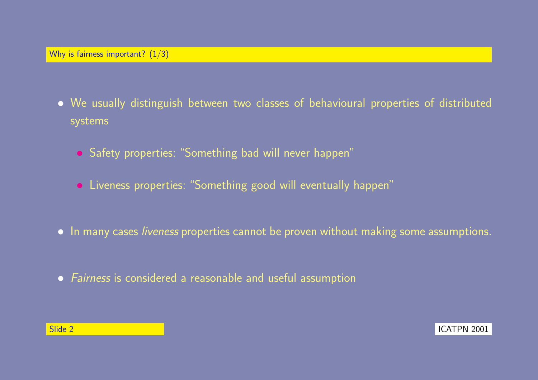- We usually distinguish between two classes of behavioural properties of distributed systems
	- Safety properties: "Something bad will never happen"
	- Liveness properties: "Something good will eventually happen"
- In many cases *liveness* properties cannot be proven without making some assumptions.
- Fairness is considered a reasonable and useful assumption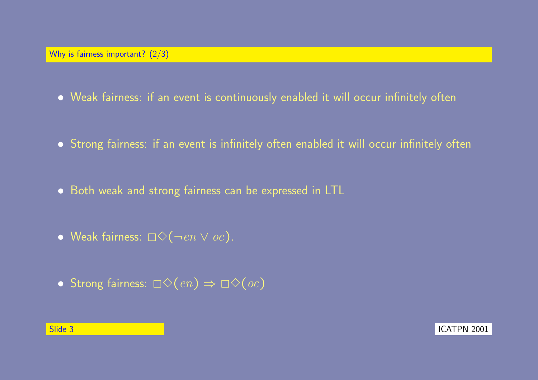- Weak fairness: if an event is continuously enabled it will occur infinitely often
- Strong fairness: if an event is infinitely often enabled it will occur infinitely often
- Both weak and strong fairness can be expressed in LTL
- Weak fairness:  $\Box \Diamond (\neg en \lor oc)$ .
- Strong fairness:  $\Box \Diamond (en) \Rightarrow \Box \Diamond (oc)$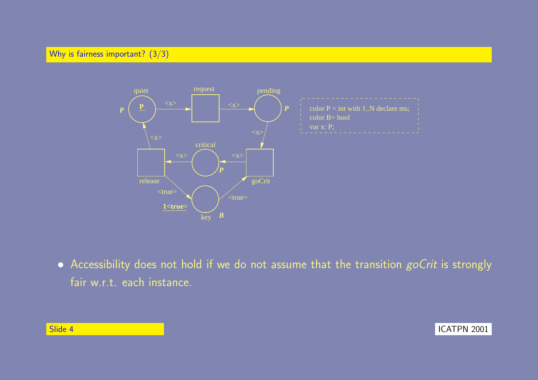Why is fairness important? (3/3)



 $\bullet$  Accessibility does not hold if we do not assume that the transition  $\mathit{goCrit}$  is strongly fair w.r.t. each instance.

| Slide 4 |  |
|---------|--|
|---------|--|

**ICATPN 2001**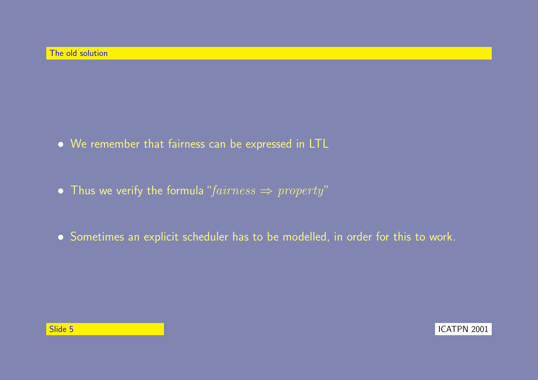- We remember that fairness can be expressed in LTL
- Thus we verify the formula " $fairness \Rightarrow property$ "
- Sometimes an explicit scheduler has to be modelled, in order for this to work.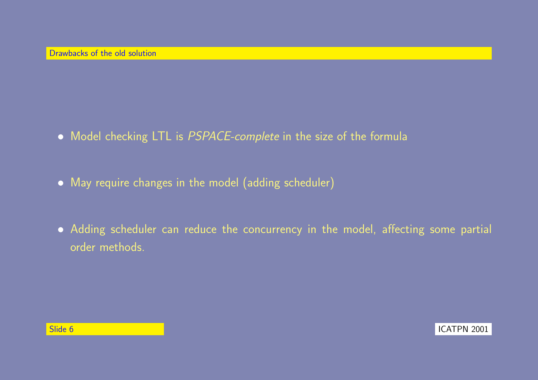- Model checking LTL is PSPACE-complete in the size of the formula
- May require changes in the model (adding scheduler)
- Adding scheduler can reduce the concurrency in the model, affecting some partial order methods.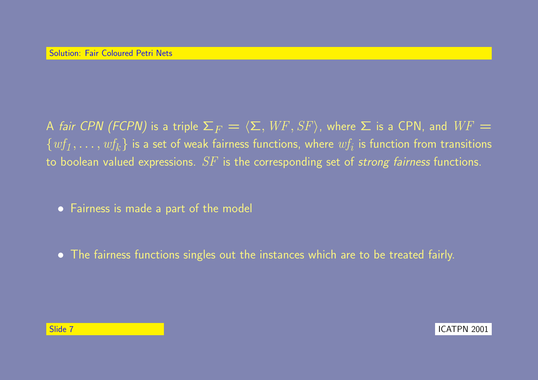A fair CPN (FCPN) is a triple  $\Sigma_F = \langle \Sigma, WF, SF \rangle$ , where  $\Sigma$  is a CPN, and  $WF =$  $\{wf_1,\ldots,wf_k\}$  is a set of weak fairness functions, where  $wf_i$  is function from transitions to boolean valued expressions.  $SF$  is the corresponding set of strong fairness functions.

• Fairness is made a part of the model

• The fairness functions singles out the instances which are to be treated fairly.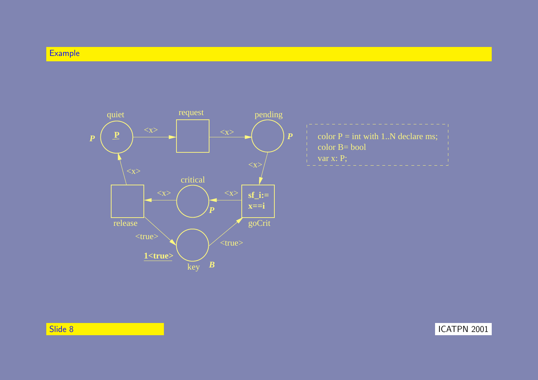### Example



in the set of the set of the set of the set of the set of the set of the set of the set of the set of the set o<br>In the set of the set of the set of the set of the set of the set of the set of the set of the set of the set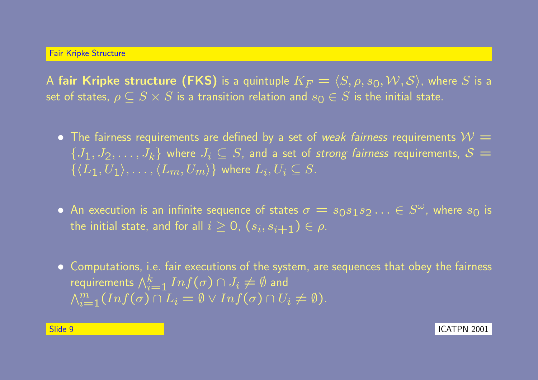A fair Kripke structure (FKS) is a quintuple  $K_F = \langle S, \rho, s_0, \mathcal{W}, \mathcal{S} \rangle$ , where S is a set of states,  $\rho \subseteq S \times S$  is a transition relation and  $s_0 \in S$  is the initial state.

- The fairness requirements are defined by a set of weak fairness requirements  $\mathcal{W} =$  $\{J_1, J_2, \ldots, J_k\}$  where  $J_i \subseteq S$ , and a set of strong fairness requirements,  $S =$  $\{ \langle L_1, U_1 \rangle, \ldots, \langle L_m, U_m \rangle \}$  where  $L_i, U_i \subseteq S$ .
- An execution is an infinite sequence of states  $\sigma = s_0 s_1 s_2 \ldots \in S^\omega$ , where  $s_0$  is the initial state, and for all  $i\geq 0$ ,  $(s_i,s_{i+1})\in \rho.$
- Computations, i.e. fair executions of the system, are sequences that obey the fairness requirements  $\bigwedge_{i=1}^k Inf(\sigma) \cap J_i \neq \emptyset$  and  $\overline{M}$  $\lim_{i=1}(Inf(\sigma) \cap L_i = \emptyset \vee Inf(\sigma) \cap U_i \neq \emptyset).$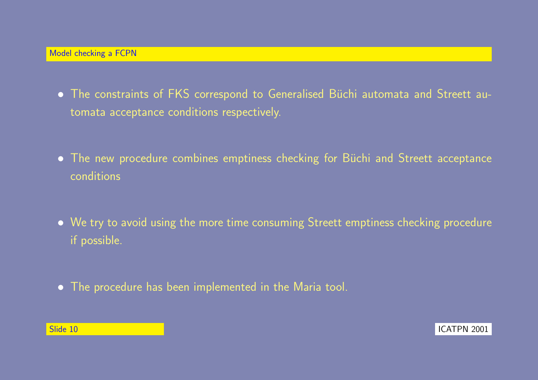- The constraints of FKS correspond to Generalised Büchi automata and Streett automata acceptance conditions respectively.
- The new procedure combines emptiness checking for Büchi and Streett acceptance conditions
- We try to avoid using the more time consuming Streett emptiness checking procedure if possible.
- The procedure has been implemented in the Maria tool.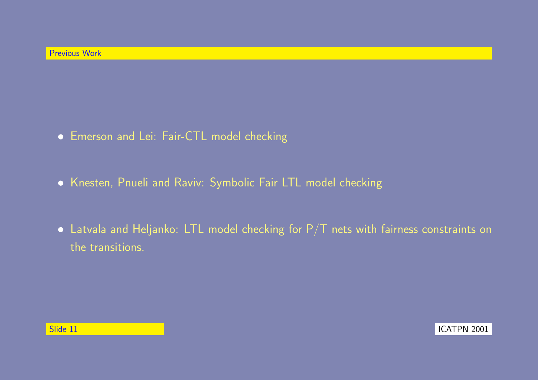- Emerson and Lei: Fair-CTL model checking
- Knesten, Pnueli and Raviv: Symbolic Fair LTL model checking
- $\bullet$  Latvala and Heljanko: LTL model checking for P/T nets with fairness constraints on the transitions.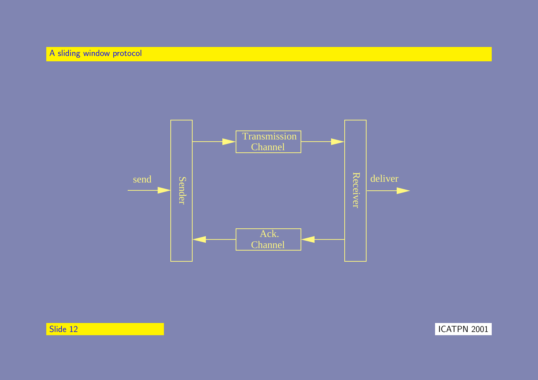

المسابق المسابق المسابق المسابق المسابق المسابق المسابق المسابق المسابق المسابق المسابق المسابق المسابق المسابق المسابق المسابق المسابق المسابق المسابق المسابق المسابق المسابق المسابق المسابق المسابق المسابق المسابق المس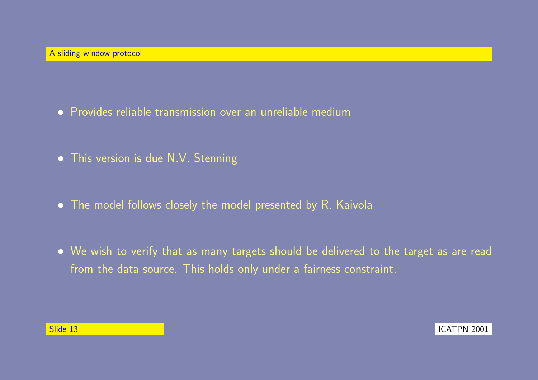- Provides reliable transmission over an unreliable medium
- This version is due N.V. Stenning
- The model follows closely the model presented by R. Kaivola
- We wish to verify that as many targets should be delivered to the target as are read from the data source. This holds only under a fairness constraint.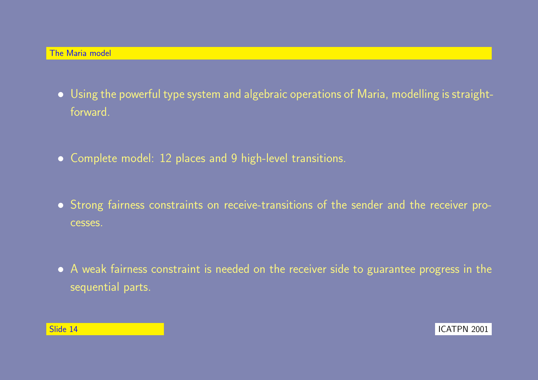- Using the powerful type system and algebraic operations of Maria, modelling is straightforward.
- Complete model: 12 places and 9 high-level transitions.
- Strong fairness constraints on receive-transitions of the sender and the receiver processes.
- A weak fairness constraint is needed on the receiver side to guarantee progress in the sequential parts.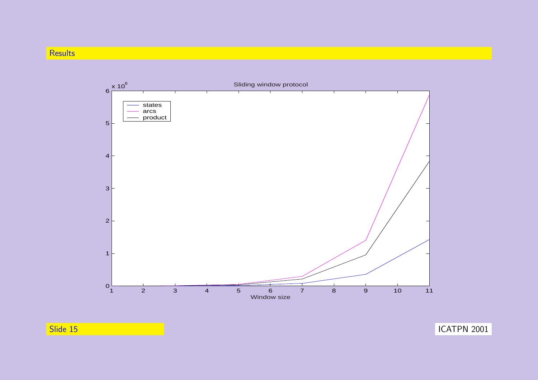#### **Results**



المسابق المسابق المسابق المسابق المسابق المسابق المسابق المسابق المسابق المسابق المسابق المسابق المسابق المسابق المسابق المسابق المسابق المسابق المسابق المسابق المسابق المسابق المسابق المسابق المسابق المسابق المسابق المس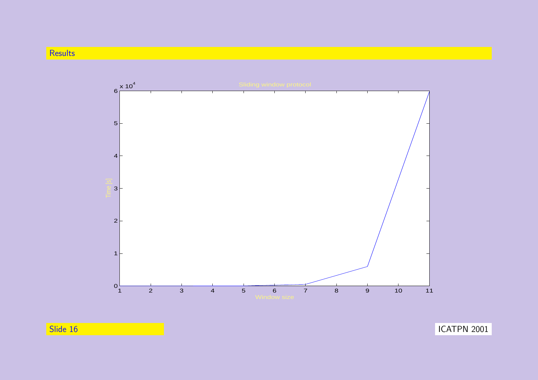#### **Results**



in the set of the set of the set of the set of the set of the set of the set of the set of the set of the set o<br>In the set of the set of the set of the set of the set of the set of the set of the set of the set of the set